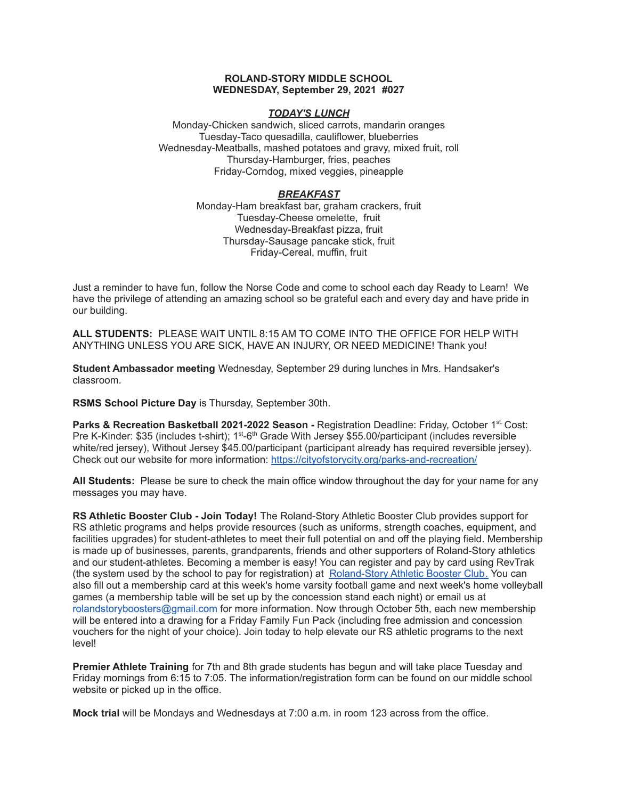### **ROLAND-STORY MIDDLE SCHOOL WEDNESDAY, September 29, 2021 #027**

# *TODAY'S LUNCH*

Monday-Chicken sandwich, sliced carrots, mandarin oranges Tuesday-Taco quesadilla, cauliflower, blueberries Wednesday-Meatballs, mashed potatoes and gravy, mixed fruit, roll Thursday-Hamburger, fries, peaches Friday-Corndog, mixed veggies, pineapple

# *BREAKFAST*

Monday-Ham breakfast bar, graham crackers, fruit Tuesday-Cheese omelette, fruit Wednesday-Breakfast pizza, fruit Thursday-Sausage pancake stick, fruit Friday-Cereal, muffin, fruit

Just a reminder to have fun, follow the Norse Code and come to school each day Ready to Learn! We have the privilege of attending an amazing school so be grateful each and every day and have pride in our building.

**ALL STUDENTS:** PLEASE WAIT UNTIL 8:15 AM TO COME INTO THE OFFICE FOR HELP WITH ANYTHING UNLESS YOU ARE SICK, HAVE AN INJURY, OR NEED MEDICINE! Thank you!

**Student Ambassador meeting** Wednesday, September 29 during lunches in Mrs. Handsaker's classroom.

**RSMS School Picture Day** is Thursday, September 30th.

**Parks & Recreation Basketball 2021-2022 Season -** Registration Deadline: Friday, October 1 st. Cost: Pre K-Kinder: \$35 (includes t-shirt); 1<sup>st</sup>-6<sup>th</sup> Grade With Jersey \$55.00/participant (includes reversible white/red jersey), Without Jersey \$45.00/participant (participant already has required reversible jersey). Check out our website for more information: <https://cityofstorycity.org/parks-and-recreation/>

**All Students:** Please be sure to check the main office window throughout the day for your name for any messages you may have.

**RS Athletic Booster Club - Join Today!** The Roland-Story Athletic Booster Club provides support for RS athletic programs and helps provide resources (such as uniforms, strength coaches, equipment, and facilities upgrades) for student-athletes to meet their full potential on and off the playing field. Membership is made up of businesses, parents, grandparents, friends and other supporters of Roland-Story athletics and our student-athletes. Becoming a member is easy! You can register and pay by card using RevTrak (the system used by the school to pay for registration) at [Roland-Story](https://rolandstory.revtrak.net/Roland-Story-Athletic-Booster-Club/) Athletic Booster Club. You can also fill out a membership card at this week's home varsity football game and next week's home volleyball games (a membership table will be set up by the concession stand each night) or email us at rolandstoryboosters@gmail.com for more information. Now through October 5th, each new membership will be entered into a drawing for a Friday Family Fun Pack (including free admission and concession vouchers for the night of your choice). Join today to help elevate our RS athletic programs to the next level!

**Premier Athlete Training** for 7th and 8th grade students has begun and will take place Tuesday and Friday mornings from 6:15 to 7:05. The information/registration form can be found on our middle school website or picked up in the office.

**Mock trial** will be Mondays and Wednesdays at 7:00 a.m. in room 123 across from the office.